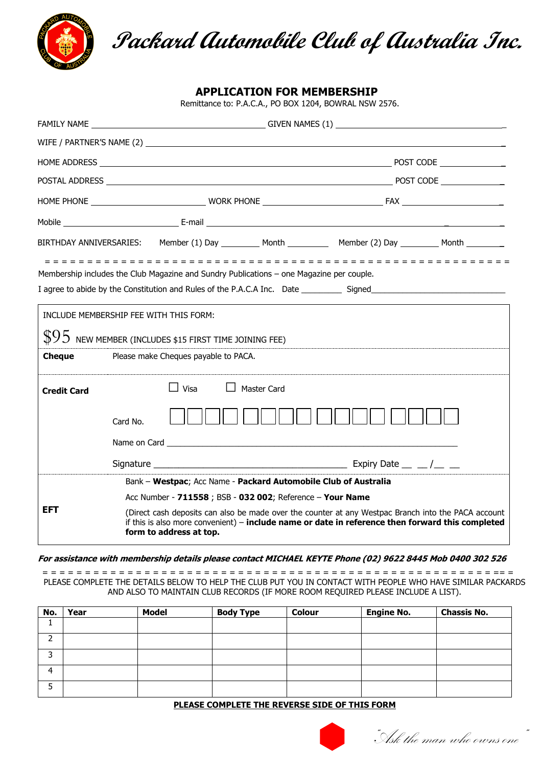

**Packard Automobile Club of Australia Inc.**

**APPLICATION FOR MEMBERSHIP**

Remittance to: P.A.C.A., PO BOX 1204, BOWRAL NSW 2576.

|                                                                                          | BIRTHDAY ANNIVERSARIES: Member (1) Day ________ Month __________ Member (2) Day ________ Month ________                                                                                                                            |                    |  |  |  |  |  |
|------------------------------------------------------------------------------------------|------------------------------------------------------------------------------------------------------------------------------------------------------------------------------------------------------------------------------------|--------------------|--|--|--|--|--|
| Membership includes the Club Magazine and Sundry Publications - one Magazine per couple. |                                                                                                                                                                                                                                    |                    |  |  |  |  |  |
|                                                                                          | INCLUDE MEMBERSHIP FEE WITH THIS FORM:                                                                                                                                                                                             |                    |  |  |  |  |  |
|                                                                                          | $$95$ new member (includes \$15 first time joining FEE)                                                                                                                                                                            |                    |  |  |  |  |  |
| <b>Cheque</b>                                                                            | Please make Cheques payable to PACA.                                                                                                                                                                                               |                    |  |  |  |  |  |
| <b>Credit Card</b>                                                                       | $\Box$ Visa                                                                                                                                                                                                                        | <b>Master Card</b> |  |  |  |  |  |
|                                                                                          | Card No.                                                                                                                                                                                                                           |                    |  |  |  |  |  |
|                                                                                          |                                                                                                                                                                                                                                    |                    |  |  |  |  |  |
|                                                                                          | Bank - Westpac; Acc Name - Packard Automobile Club of Australia                                                                                                                                                                    |                    |  |  |  |  |  |
| <b>EFT</b>                                                                               | Acc Number - 711558 ; BSB - 032 002; Reference - Your Name                                                                                                                                                                         |                    |  |  |  |  |  |
|                                                                                          | (Direct cash deposits can also be made over the counter at any Westpac Branch into the PACA account<br>if this is also more convenient) - include name or date in reference then forward this completed<br>form to address at top. |                    |  |  |  |  |  |

## **For assistance with membership details please contact MICHAEL KEYTE Phone (02) 9622 8445 Mob 0400 302 526**

= = = = = = = = = = = = = = = = = = = = = = = = = = = = = = = = = = = = = = = = = = = = = = = = = = = = = == = PLEASE COMPLETE THE DETAILS BELOW TO HELP THE CLUB PUT YOU IN CONTACT WITH PEOPLE WHO HAVE SIMILAR PACKARDS AND ALSO TO MAINTAIN CLUB RECORDS (IF MORE ROOM REQUIRED PLEASE INCLUDE A LIST).

| No. | Year | <b>Model</b> | <b>Body Type</b> | <b>Colour</b> | <b>Engine No.</b> | <b>Chassis No.</b> |
|-----|------|--------------|------------------|---------------|-------------------|--------------------|
|     |      |              |                  |               |                   |                    |
| ∽   |      |              |                  |               |                   |                    |
| h   |      |              |                  |               |                   |                    |
| Δ   |      |              |                  |               |                   |                    |
|     |      |              |                  |               |                   |                    |

## **PLEASE COMPLETE THE REVERSE SIDE OF THIS FORM**